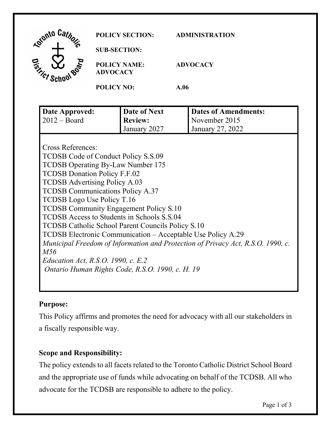| Agranto Car<br>a              | <b>POLICY SECTION:</b>                 | <b>ADMINISTRATION</b> |
|-------------------------------|----------------------------------------|-----------------------|
|                               | <b>SUB-SECTION:</b>                    |                       |
| <b>Torticle</b><br><b>ROP</b> | <b>POLICY NAME:</b><br><b>ADVOCACY</b> | <b>ADVOCACY</b>       |
|                               | <b>POLICY NO:</b>                      | A.06                  |

| Date Approved:                                                                  | Date of Next   | <b>Dates of Amendments:</b> |  |  |
|---------------------------------------------------------------------------------|----------------|-----------------------------|--|--|
| $2012 - Board$                                                                  | <b>Review:</b> | November 2015               |  |  |
|                                                                                 | January 2027   | January 27, 2022            |  |  |
|                                                                                 |                |                             |  |  |
| Cross References:                                                               |                |                             |  |  |
| TCDSB Code of Conduct Policy S.S.09                                             |                |                             |  |  |
| TCDSB Operating By-Law Number 175                                               |                |                             |  |  |
| <b>TCDSB Donation Policy F.F.02</b>                                             |                |                             |  |  |
| <b>TCDSB</b> Advertising Policy A.03                                            |                |                             |  |  |
| <b>TCDSB Communications Policy A.37</b>                                         |                |                             |  |  |
| TCDSB Logo Use Policy T.16                                                      |                |                             |  |  |
| <b>TCDSB Community Engagement Policy S.10</b>                                   |                |                             |  |  |
| TCDSB Access to Students in Schools S.S.04                                      |                |                             |  |  |
| TCDSB Catholic School Parent Councils Policy S.10                               |                |                             |  |  |
| TCDSB Electronic Communication – Acceptable Use Policy A.29                     |                |                             |  |  |
| Municipal Freedom of Information and Protection of Privacy Act, R.S.O. 1990, c. |                |                             |  |  |
| M56                                                                             |                |                             |  |  |
| Education Act, R.S.O. 1990, c. E.2                                              |                |                             |  |  |
| Ontario Human Rights Code, R.S.O. 1990, c. H. 19                                |                |                             |  |  |
|                                                                                 |                |                             |  |  |

# **Purpose:**

 a fiscally responsible way. This Policy affirms and promotes the need for advocacy with all our stakeholders in

# **Scope and Responsibility:**

 advocate for the TCDSB are responsible to adhere to the policy. The policy extends to all facets related to the Toronto Catholic District School Board and the appropriate use of funds while advocating on behalf of the TCDSB. All who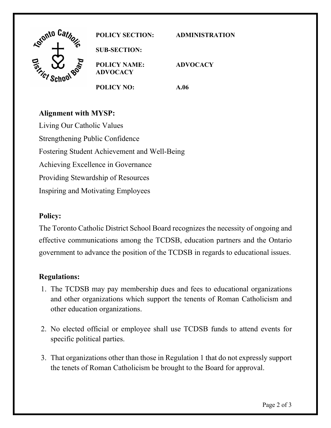

### **Alignment with MYSP:**

Living Our Catholic Values Strengthening Public Confidence Fostering Student Achievement and Well-Being Achieving Excellence in Governance Providing Stewardship of Resources Inspiring and Motivating Employees

#### **Policy:**

 effective communications among the TCDSB, education partners and the Ontario government to advance the position of the TCDSB in regards to educational issues. The Toronto Catholic District School Board recognizes the necessity of ongoing and

#### **Regulations:**

- 1. The TCDSB may pay membership dues and fees to educational organizations and other organizations which support the tenents of Roman Catholicism and other education organizations.
- 2. No elected official or employee shall use TCDSB funds to attend events for specific political parties.
- 3. That organizations other than those in Regulation 1 that do not expressly support the tenets of Roman Catholicism be brought to the Board for approval.